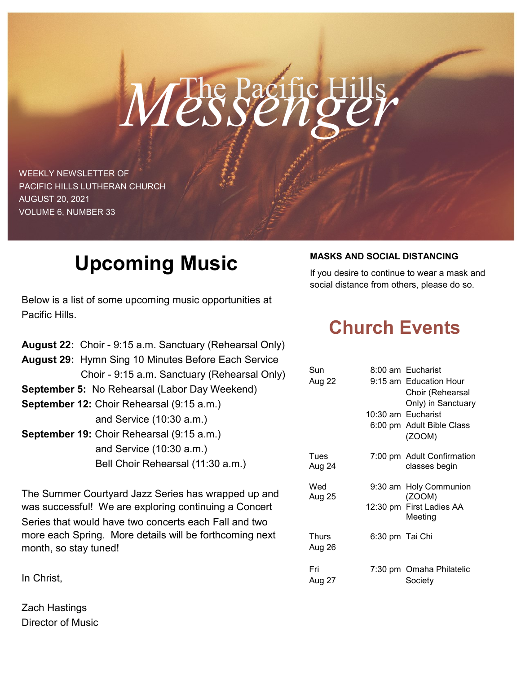# The Pacific Hills *Messenger*

WEEKLY NEWSLETTER OF PACIFIC HILLS LUTHERAN CHURCH AUGUST 20, 2021 VOLUME 6, NUMBER 33

## **Upcoming Music**

Below is a list of some upcoming music opportunities at Pacific Hills.

|                                           | August 22: Choir - 9:15 a.m. Sanctuary (Rehearsal Only)    |  |  |
|-------------------------------------------|------------------------------------------------------------|--|--|
|                                           | <b>August 29: Hymn Sing 10 Minutes Before Each Service</b> |  |  |
|                                           | Choir - 9:15 a.m. Sanctuary (Rehearsal Only)               |  |  |
|                                           | <b>September 5: No Rehearsal (Labor Day Weekend)</b>       |  |  |
| September 12: Choir Rehearsal (9:15 a.m.) |                                                            |  |  |
|                                           | and Service (10:30 a.m.)                                   |  |  |
| September 19: Choir Rehearsal (9:15 a.m.) |                                                            |  |  |
|                                           | and Service (10:30 a.m.)                                   |  |  |
|                                           | Bell Choir Rehearsal (11:30 a.m.)                          |  |  |
|                                           |                                                            |  |  |

The Summer Courtyard Jazz Series has wrapped up and was successful! We are exploring continuing a Concert Series that would have two concerts each Fall and two more each Spring. More details will be forthcoming next month, so stay tuned!

In Christ,

Zach Hastings Director of Music

#### **MASKS AND SOCIAL DISTANCING**

If you desire to continue to wear a mask and social distance from others, please do so.

### **Church Events**

| Sun             |                 | 8:00 am Eucharist                                                               |
|-----------------|-----------------|---------------------------------------------------------------------------------|
| Aug 22          |                 | 9:15 am Education Hour<br>Choir (Rehearsal                                      |
|                 |                 | Only) in Sanctuary<br>10:30 am Eucharist<br>6:00 pm Adult Bible Class<br>(ZOOM) |
| Tues<br>Aug 24  |                 | 7:00 pm Adult Confirmation<br>classes begin                                     |
| Wed<br>Aug 25   |                 | 9:30 am Holy Communion<br>(ZOOM)                                                |
|                 |                 | 12:30 pm First Ladies AA<br>Meeting                                             |
| Thurs<br>Aug 26 | 6:30 pm Tai Chi |                                                                                 |
| Fri<br>Aug 27   |                 | 7:30 pm Omaha Philatelic<br>Society                                             |